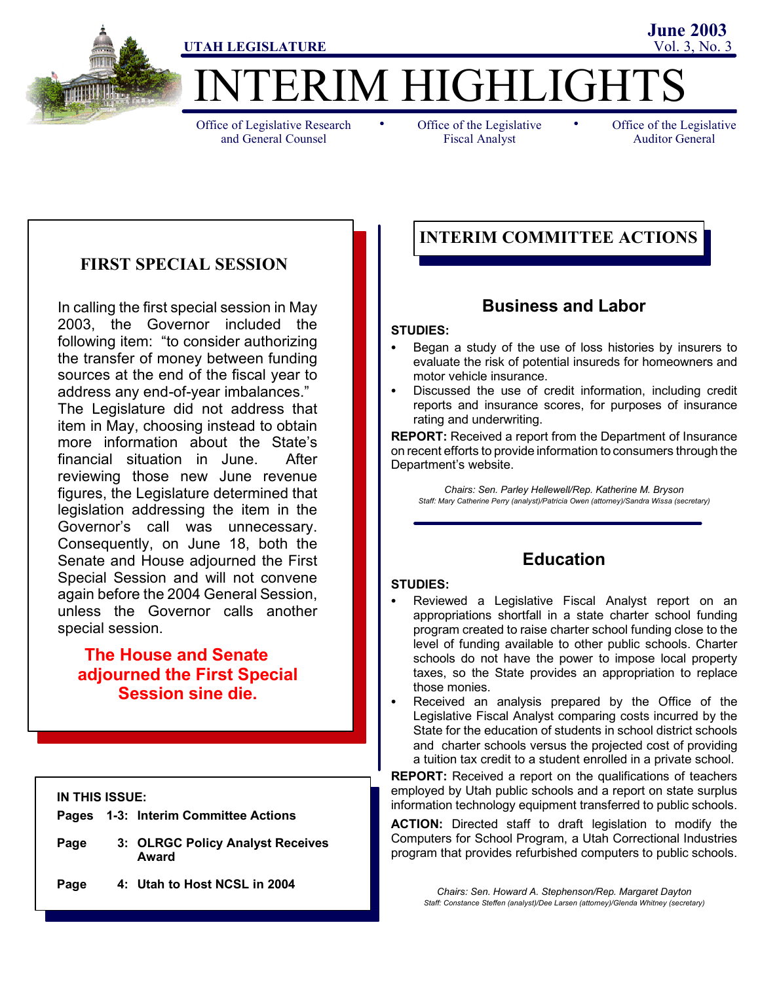

# **TERIM HIGHLIGHT**

Office of Legislative Research and General Counsel

• Office of the Legislative • Fiscal Analyst

Office of the Legislative Auditor General

**June 2003**

## **FIRST SPECIAL SESSION**

In calling the first special session in May 2003, the Governor included the following item: "to consider authorizing the transfer of money between funding sources at the end of the fiscal year to address any end-of-year imbalances."

The Legislature did not address that item in May, choosing instead to obtain more information about the State's financial situation in June. After reviewing those new June revenue figures, the Legislature determined that legislation addressing the item in the Governor's call was unnecessary. Consequently, on June 18, both the Senate and House adjourned the First Special Session and will not convene again before the 2004 General Session, unless the Governor calls another special session.

## **The House and Senate adjourned the First Special Session sine die.**

#### **IN THIS ISSUE:**

- **Pages 1-3: Interim Committee Actions**
- **Page 3: OLRGC Policy Analyst Receives Award**
- **Page 4: Utah to Host NCSL in 2004**

## **INTERIM COMMITTEE ACTIONS**

## **Business and Labor**

#### **STUDIES:**

- Began a study of the use of loss histories by insurers to evaluate the risk of potential insureds for homeowners and motor vehicle insurance.
- Discussed the use of credit information, including credit reports and insurance scores, for purposes of insurance rating and underwriting.

**REPORT:** Received a report from the Department of Insurance on recent efforts to provide information to consumers through the Department's website.

*Chairs: Sen. Parley Hellewell/Rep. Katherine M. Bryson Staff: Mary Catherine Perry (analyst)/Patricia Owen (attorney)/Sandra Wissa (secretary)*

## **Education**

#### **STUDIES:**

- Reviewed a Legislative Fiscal Analyst report on an appropriations shortfall in a state charter school funding program created to raise charter school funding close to the level of funding available to other public schools. Charter schools do not have the power to impose local property taxes, so the State provides an appropriation to replace those monies.
- Received an analysis prepared by the Office of the Legislative Fiscal Analyst comparing costs incurred by the State for the education of students in school district schools and charter schools versus the projected cost of providing a tuition tax credit to a student enrolled in a private school.

**REPORT:** Received a report on the qualifications of teachers employed by Utah public schools and a report on state surplus information technology equipment transferred to public schools.

**ACTION:** Directed staff to draft legislation to modify the Computers for School Program, a Utah Correctional Industries program that provides refurbished computers to public schools.

*Chairs: Sen. Howard A. Stephenson/Rep. Margaret Dayton Staff: Constance Steffen (analyst)/Dee Larsen (attorney)/Glenda Whitney (secretary)*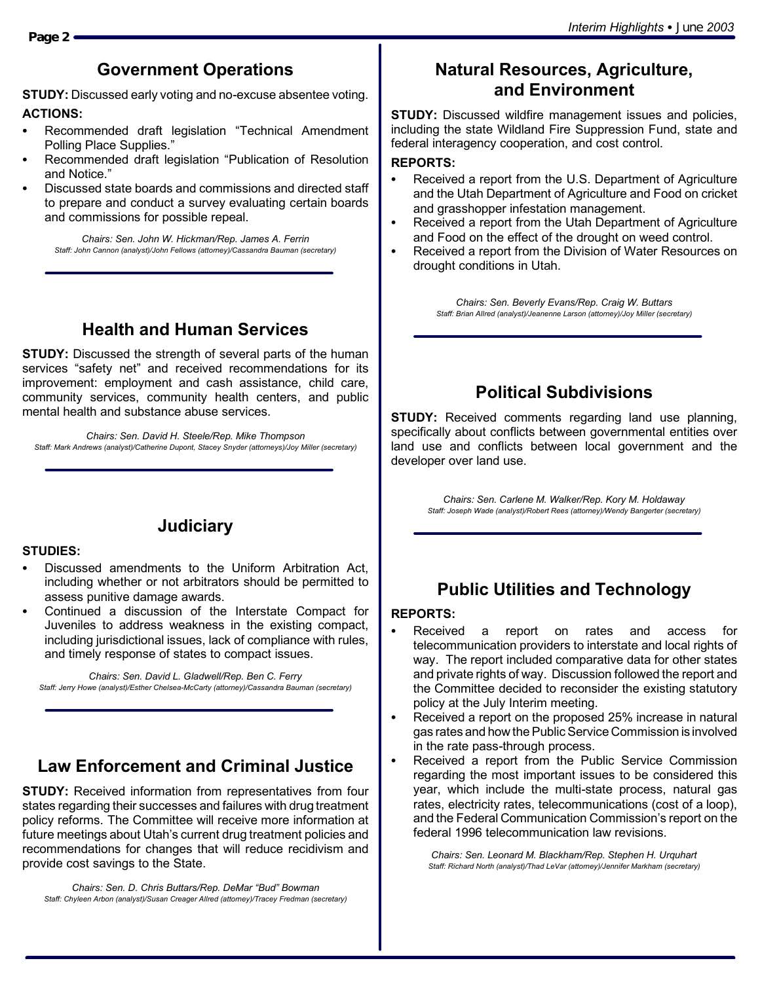## **Government Operations**

**STUDY:** Discussed early voting and no-excuse absentee voting. **ACTIONS:**

- Recommended draft legislation "Technical Amendment Polling Place Supplies."
- Recommended draft legislation "Publication of Resolution and Notice."
- Discussed state boards and commissions and directed staff to prepare and conduct a survey evaluating certain boards and commissions for possible repeal.

*Chairs: Sen. John W. Hickman/Rep. James A. Ferrin Staff: John Cannon (analyst)/John Fellows (attorney)/Cassandra Bauman (secretary)*

## **Health and Human Services**

**STUDY:** Discussed the strength of several parts of the human services "safety net" and received recommendations for its improvement: employment and cash assistance, child care, community services, community health centers, and public mental health and substance abuse services.

*Chairs: Sen. David H. Steele/Rep. Mike Thompson Staff: Mark Andrews (analyst)/Catherine Dupont, Stacey Snyder (attorneys)/Joy Miller (secretary)*

## **Judiciary**

#### **STUDIES:**

- Discussed amendments to the Uniform Arbitration Act, including whether or not arbitrators should be permitted to assess punitive damage awards.
- Continued a discussion of the Interstate Compact for Juveniles to address weakness in the existing compact, including jurisdictional issues, lack of compliance with rules, and timely response of states to compact issues.

*Chairs: Sen. David L. Gladwell/Rep. Ben C. Ferry Staff: Jerry Howe (analyst)/Esther Chelsea-McCarty (attorney)/Cassandra Bauman (secretary)*

## **Law Enforcement and Criminal Justice**

**STUDY:** Received information from representatives from four states regarding their successes and failures with drug treatment policy reforms. The Committee will receive more information at future meetings about Utah's current drug treatment policies and recommendations for changes that will reduce recidivism and provide cost savings to the State.

*Chairs: Sen. D. Chris Buttars/Rep. DeMar "Bud" Bowman Staff: Chyleen Arbon (analyst)/Susan Creager Allred (attorney)/Tracey Fredman (secretary)*

## **Natural Resources, Agriculture, and Environment**

**STUDY:** Discussed wildfire management issues and policies, including the state Wildland Fire Suppression Fund, state and federal interagency cooperation, and cost control.

#### **REPORTS:**

- Received a report from the U.S. Department of Agriculture and the Utah Department of Agriculture and Food on cricket and grasshopper infestation management.
- Received a report from the Utah Department of Agriculture and Food on the effect of the drought on weed control.
- Received a report from the Division of Water Resources on drought conditions in Utah.

*Chairs: Sen. Beverly Evans/Rep. Craig W. Buttars Staff: Brian Allred (analyst)/Jeanenne Larson (attorney)/Joy Miller (secretary)*

## **Political Subdivisions**

**STUDY:** Received comments regarding land use planning, specifically about conflicts between governmental entities over land use and conflicts between local government and the developer over land use.

> *Chairs: Sen. Carlene M. Walker/Rep. Kory M. Holdaway Staff: Joseph Wade (analyst)/Robert Rees (attorney)/Wendy Bangerter (secretary)*

## **Public Utilities and Technology**

#### **REPORTS:**

- Received a report on rates and access for telecommunication providers to interstate and local rights of way. The report included comparative data for other states and private rights of way. Discussion followed the report and the Committee decided to reconsider the existing statutory policy at the July Interim meeting.
- Received a report on the proposed 25% increase in natural gas rates and how the Public Service Commission is involved in the rate pass-through process.
- Received a report from the Public Service Commission regarding the most important issues to be considered this year, which include the multi-state process, natural gas rates, electricity rates, telecommunications (cost of a loop), and the Federal Communication Commission's report on the federal 1996 telecommunication law revisions.

*Chairs: Sen. Leonard M. Blackham/Rep. Stephen H. Urquhart Staff: Richard North (analyst)/Thad LeVar (attorney)/Jennifer Markham (secretary)*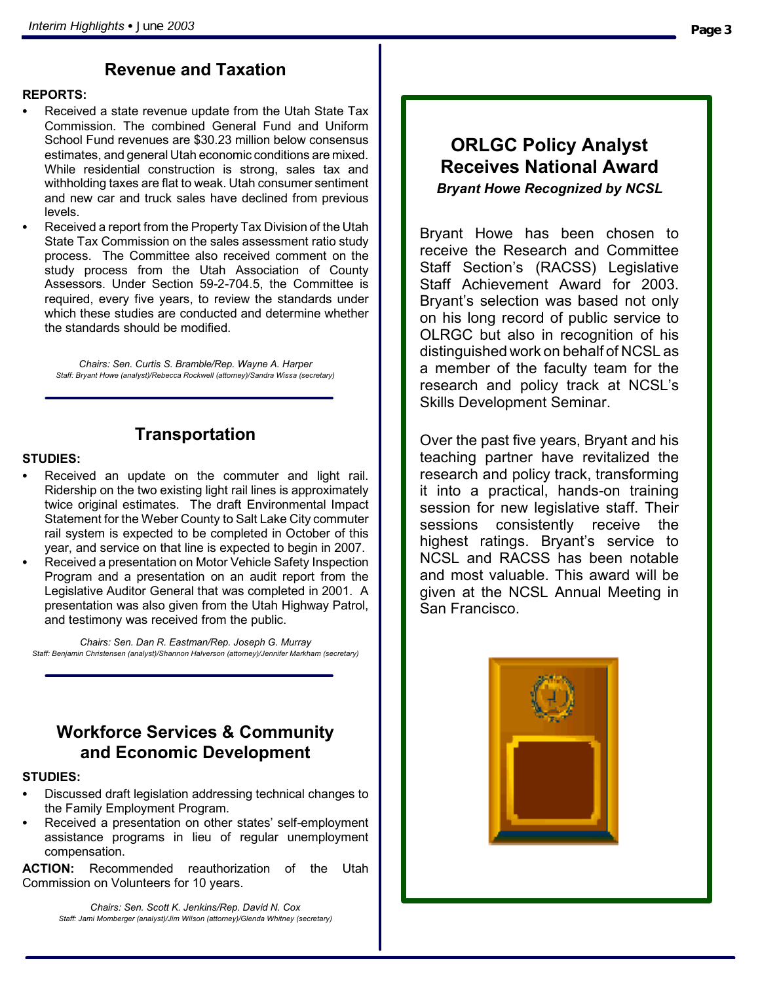## **Revenue and Taxation**

#### **REPORTS:**

- Received a state revenue update from the Utah State Tax Commission. The combined General Fund and Uniform School Fund revenues are \$30.23 million below consensus estimates, and general Utah economic conditions are mixed. While residential construction is strong, sales tax and withholding taxes are flat to weak. Utah consumer sentiment and new car and truck sales have declined from previous levels.
- Received a report from the Property Tax Division of the Utah State Tax Commission on the sales assessment ratio study process. The Committee also received comment on the study process from the Utah Association of County Assessors. Under Section 59-2-704.5, the Committee is required, every five years, to review the standards under which these studies are conducted and determine whether the standards should be modified.

*Chairs: Sen. Curtis S. Bramble/Rep. Wayne A. Harper Staff: Bryant Howe (analyst)/Rebecca Rockwell (attorney)/Sandra Wissa (secretary)*

## **Transportation**

#### **STUDIES:**

- Received an update on the commuter and light rail. Ridership on the two existing light rail lines is approximately twice original estimates. The draft Environmental Impact Statement for the Weber County to Salt Lake City commuter rail system is expected to be completed in October of this year, and service on that line is expected to begin in 2007.
- Received a presentation on Motor Vehicle Safety Inspection Program and a presentation on an audit report from the Legislative Auditor General that was completed in 2001. A presentation was also given from the Utah Highway Patrol, and testimony was received from the public.

*Chairs: Sen. Dan R. Eastman/Rep. Joseph G. Murray Staff: Benjamin Christensen (analyst)/Shannon Halverson (attorney)/Jennifer Markham (secretary)*

## **Workforce Services & Community and Economic Development**

#### **STUDIES:**

- Discussed draft legislation addressing technical changes to the Family Employment Program.
- Received a presentation on other states' self-employment assistance programs in lieu of regular unemployment compensation.

**ACTION:** Recommended reauthorization of the Utah Commission on Volunteers for 10 years.

> *Chairs: Sen. Scott K. Jenkins/Rep. David N. Cox Staff: Jami Momberger (analyst)/Jim Wilson (attorney)/Glenda Whitney (secretary)*

## **ORLGC Policy Analyst Receives National Award** *Bryant Howe Recognized by NCSL*

Bryant Howe has been chosen to receive the Research and Committee Staff Section's (RACSS) Legislative Staff Achievement Award for 2003. Bryant's selection was based not only on his long record of public service to OLRGC but also in recognition of his distinguished work on behalf of NCSL as a member of the faculty team for the research and policy track at NCSL's Skills Development Seminar.

Over the past five years, Bryant and his teaching partner have revitalized the research and policy track, transforming it into a practical, hands-on training session for new legislative staff. Their sessions consistently receive the highest ratings. Bryant's service to NCSL and RACSS has been notable and most valuable. This award will be given at the NCSL Annual Meeting in San Francisco.

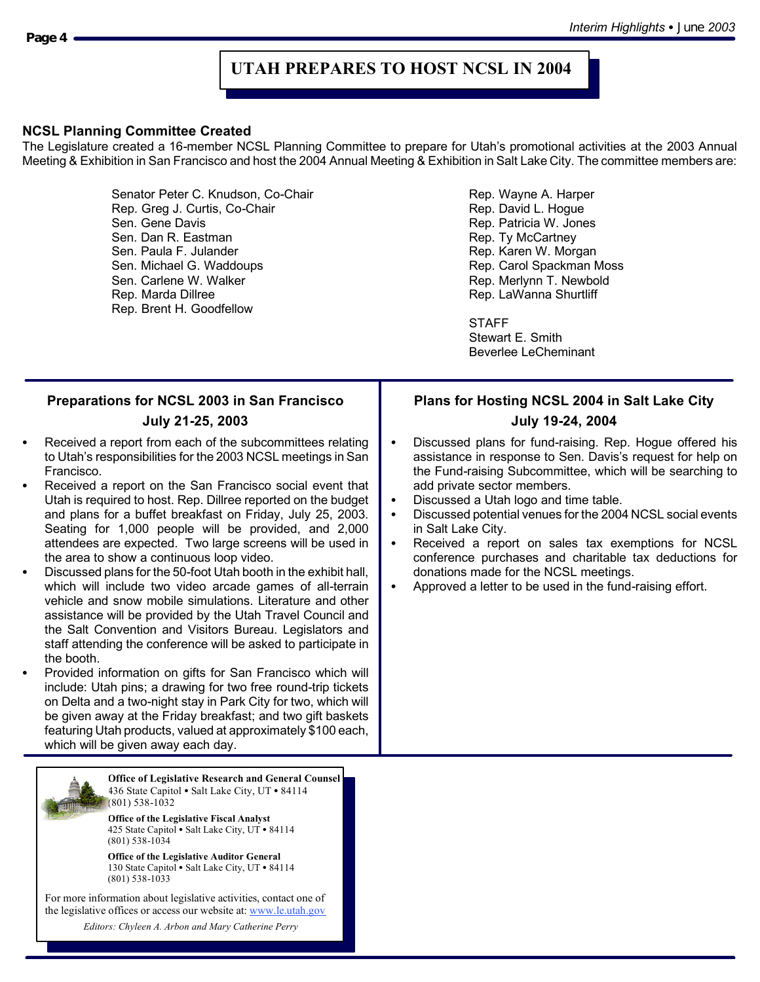## **UTAH PREPARES TO HOST NCSL IN 2004**

#### **NCSL Planning Committee Created**

The Legislature created a 16-member NCSL Planning Committee to prepare for Utah's promotional activities at the 2003 Annual Meeting & Exhibition in San Francisco and host the 2004 Annual Meeting & Exhibition in Salt Lake City. The committee members are:

> Senator Peter C. Knudson, Co-Chair **Rep. Wayne A. Harper** Rep. Wayne A. Harper Rep. Greg J. Curtis, Co-Chair **Rep. Access 1999** Rep. David L. Hogue Sen. Gene Davis Rep. Patricia W. Jones Sen. Dan R. Eastman Rep. Ty McCartney Sen. Paula F. Julander **Rep. Karen W. Morgan** Sen. Michael G. Waddoups **Rep. Carol Spackman Moss**<br>
> Sen. Carlene W. Walker **Rep. Merlynn T. Newbold** Rep. Marda Dillree **Rep. Lawanna Shurtliff** Rep. Brent H. Goodfellow

Rep. Merlynn T. Newbold

**STAFF** 

Stewart E. Smith Beverlee LeCheminant

#### **Preparations for NCSL 2003 in San Francisco July 21-25, 2003** Received a report from each of the subcommittees relating to Utah's responsibilities for the 2003 NCSL meetings in San Francisco. Received a report on the San Francisco social event that Utah is required to host. Rep. Dillree reported on the budget and plans for a buffet breakfast on Friday, July 25, 2003. Seating for 1,000 people will be provided, and 2,000 attendees are expected. Two large screens will be used in the area to show a continuous loop video. Discussed plans for the 50-foot Utah booth in the exhibit hall, which will include two video arcade games of all-terrain vehicle and snow mobile simulations. Literature and other assistance will be provided by the Utah Travel Council and the Salt Convention and Visitors Bureau. Legislators and staff attending the conference will be asked to participate in the booth. Provided information on gifts for San Francisco which will include: Utah pins; a drawing for two free round-trip tickets on Delta and a two-night stay in Park City for two, which will be given away at the Friday breakfast; and two gift baskets featuring Utah products, valued at approximately \$100 each, which will be given away each day. **Plans for Hosting NCSL 2004 in Salt Lake City July 19-24, 2004** Discussed plans for fund-raising. Rep. Hogue offered his assistance in response to Sen. Davis's request for help on the Fund-raising Subcommittee, which will be searching to add private sector members. Discussed a Utah logo and time table. Discussed potential venues for the 2004 NCSL social events in Salt Lake City. Received a report on sales tax exemptions for NCSL conference purchases and charitable tax deductions for donations made for the NCSL meetings. Approved a letter to be used in the fund-raising effort. **Office of Legislative Research and General Counsel** 436 State Capitol . Salt Lake City, UT . 84114 (801) 538-1032 **Office of the Legislative Fiscal Analyst** 425 State Capitol • Salt Lake City, UT • 84114 (801) 538-1034 **Office of the Legislative Auditor General** 130 State Capitol · Salt Lake City, UT · 84114 (801) 538-1033 For more information about legislative activities, contact one of the legislative offices or access our website at: www.le.utah.gov *Editors: Chyleen A. Arbon and Mary Catherine Perry*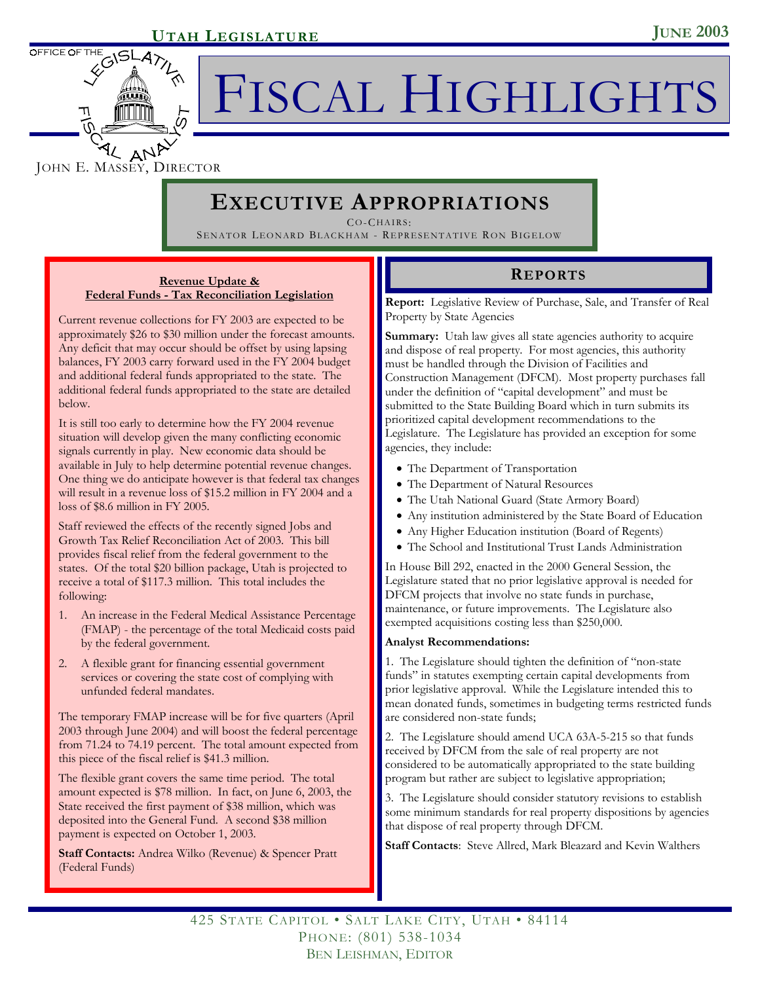

FISCAL HIGHLIGHTS

JOHN E. MASSEY, DIRECTOR

## **EXECUTIVE APPROPRIATIONS**

CO-CHAIRS:

SENATOR LEONARD BLACKHAM - REPRESENTATIVE RON BIGELOW

### **Revenue Update & REPORTS Federal Funds - Tax Reconciliation Legislation**

Current revenue collections for FY 2003 are expected to be approximately \$26 to \$30 million under the forecast amounts. Any deficit that may occur should be offset by using lapsing balances, FY 2003 carry forward used in the FY 2004 budget and additional federal funds appropriated to the state. The additional federal funds appropriated to the state are detailed below.

It is still too early to determine how the FY 2004 revenue situation will develop given the many conflicting economic signals currently in play. New economic data should be available in July to help determine potential revenue changes. One thing we do anticipate however is that federal tax changes will result in a revenue loss of \$15.2 million in FY 2004 and a loss of \$8.6 million in FY 2005.

Staff reviewed the effects of the recently signed Jobs and Growth Tax Relief Reconciliation Act of 2003. This bill provides fiscal relief from the federal government to the states. Of the total \$20 billion package, Utah is projected to receive a total of \$117.3 million. This total includes the following:

- 1. An increase in the Federal Medical Assistance Percentage (FMAP) - the percentage of the total Medicaid costs paid by the federal government.
- 2. A flexible grant for financing essential government services or covering the state cost of complying with unfunded federal mandates.

The temporary FMAP increase will be for five quarters (April 2003 through June 2004) and will boost the federal percentage from 71.24 to 74.19 percent. The total amount expected from this piece of the fiscal relief is \$41.3 million.

The flexible grant covers the same time period. The total amount expected is \$78 million. In fact, on June 6, 2003, the State received the first payment of \$38 million, which was deposited into the General Fund. A second \$38 million payment is expected on October 1, 2003.

**Staff Contacts:** Andrea Wilko (Revenue) & Spencer Pratt (Federal Funds)

**Report:** Legislative Review of Purchase, Sale, and Transfer of Real Property by State Agencies

**Summary:** Utah law gives all state agencies authority to acquire and dispose of real property. For most agencies, this authority must be handled through the Division of Facilities and Construction Management (DFCM). Most property purchases fall under the definition of "capital development" and must be submitted to the State Building Board which in turn submits its prioritized capital development recommendations to the Legislature. The Legislature has provided an exception for some agencies, they include:

- The Department of Transportation
- The Department of Natural Resources
- The Utah National Guard (State Armory Board)
- Any institution administered by the State Board of Education
- Any Higher Education institution (Board of Regents)
- The School and Institutional Trust Lands Administration

In House Bill 292, enacted in the 2000 General Session, the Legislature stated that no prior legislative approval is needed for DFCM projects that involve no state funds in purchase, maintenance, or future improvements. The Legislature also exempted acquisitions costing less than \$250,000.

#### **Analyst Recommendations:**

1. The Legislature should tighten the definition of "non-state funds" in statutes exempting certain capital developments from prior legislative approval. While the Legislature intended this to mean donated funds, sometimes in budgeting terms restricted funds are considered non-state funds;

2. The Legislature should amend UCA 63A-5-215 so that funds received by DFCM from the sale of real property are not considered to be automatically appropriated to the state building program but rather are subject to legislative appropriation;

3. The Legislature should consider statutory revisions to establish some minimum standards for real property dispositions by agencies that dispose of real property through DFCM.

**Staff Contacts**: Steve Allred, Mark Bleazard and Kevin Walthers

425 STATE CAPITOL • SALT LAKE CITY, UTAH • 84114 PHONE: (801) 538-1034 BEN LEISHMAN, EDITOR